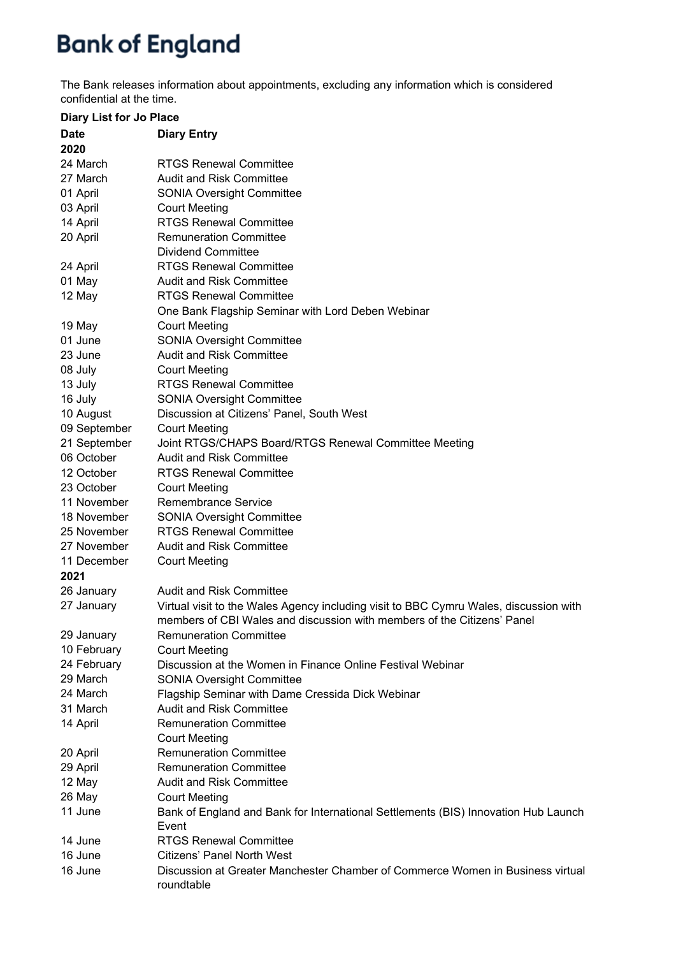## **Bank of England**

The Bank releases information about appointments, excluding any information which is considered confidential at the time.

| <b>Diary List for Jo Place</b> |                                                                                                                                                                  |
|--------------------------------|------------------------------------------------------------------------------------------------------------------------------------------------------------------|
| <b>Date</b>                    | <b>Diary Entry</b>                                                                                                                                               |
| 2020                           |                                                                                                                                                                  |
| 24 March                       | <b>RTGS Renewal Committee</b>                                                                                                                                    |
| 27 March                       | <b>Audit and Risk Committee</b>                                                                                                                                  |
| 01 April                       | <b>SONIA Oversight Committee</b>                                                                                                                                 |
| 03 April                       | <b>Court Meeting</b>                                                                                                                                             |
| 14 April                       | <b>RTGS Renewal Committee</b>                                                                                                                                    |
| 20 April                       | <b>Remuneration Committee</b>                                                                                                                                    |
|                                | <b>Dividend Committee</b>                                                                                                                                        |
| 24 April                       | <b>RTGS Renewal Committee</b>                                                                                                                                    |
| 01 May                         | <b>Audit and Risk Committee</b>                                                                                                                                  |
| 12 May                         | <b>RTGS Renewal Committee</b>                                                                                                                                    |
|                                | One Bank Flagship Seminar with Lord Deben Webinar                                                                                                                |
| 19 May                         | <b>Court Meeting</b>                                                                                                                                             |
| 01 June                        | <b>SONIA Oversight Committee</b>                                                                                                                                 |
| 23 June                        | <b>Audit and Risk Committee</b>                                                                                                                                  |
| 08 July                        | <b>Court Meeting</b>                                                                                                                                             |
| 13 July                        | <b>RTGS Renewal Committee</b>                                                                                                                                    |
| 16 July                        | <b>SONIA Oversight Committee</b>                                                                                                                                 |
| 10 August                      | Discussion at Citizens' Panel, South West                                                                                                                        |
| 09 September                   | <b>Court Meeting</b>                                                                                                                                             |
| 21 September                   | Joint RTGS/CHAPS Board/RTGS Renewal Committee Meeting                                                                                                            |
| 06 October                     | Audit and Risk Committee                                                                                                                                         |
| 12 October                     | <b>RTGS Renewal Committee</b>                                                                                                                                    |
| 23 October                     | <b>Court Meeting</b>                                                                                                                                             |
| 11 November                    | <b>Remembrance Service</b>                                                                                                                                       |
| 18 November                    | <b>SONIA Oversight Committee</b>                                                                                                                                 |
| 25 November                    | <b>RTGS Renewal Committee</b>                                                                                                                                    |
| 27 November                    | <b>Audit and Risk Committee</b>                                                                                                                                  |
| 11 December                    | <b>Court Meeting</b>                                                                                                                                             |
| 2021                           |                                                                                                                                                                  |
| 26 January                     | <b>Audit and Risk Committee</b>                                                                                                                                  |
| 27 January                     | Virtual visit to the Wales Agency including visit to BBC Cymru Wales, discussion with<br>members of CBI Wales and discussion with members of the Citizens' Panel |
| 29 January                     | <b>Remuneration Committee</b>                                                                                                                                    |
| 10 February                    | <b>Court Meeting</b>                                                                                                                                             |
| 24 February                    | Discussion at the Women in Finance Online Festival Webinar                                                                                                       |
| 29 March                       | <b>SONIA Oversight Committee</b>                                                                                                                                 |
| 24 March                       | Flagship Seminar with Dame Cressida Dick Webinar                                                                                                                 |
| 31 March                       | <b>Audit and Risk Committee</b>                                                                                                                                  |
| 14 April                       | <b>Remuneration Committee</b>                                                                                                                                    |
|                                | <b>Court Meeting</b>                                                                                                                                             |
| 20 April                       | <b>Remuneration Committee</b>                                                                                                                                    |
| 29 April                       | <b>Remuneration Committee</b>                                                                                                                                    |
| 12 May                         | <b>Audit and Risk Committee</b>                                                                                                                                  |
| 26 May                         | <b>Court Meeting</b>                                                                                                                                             |
| 11 June                        | Bank of England and Bank for International Settlements (BIS) Innovation Hub Launch<br>Event                                                                      |
| 14 June                        | <b>RTGS Renewal Committee</b>                                                                                                                                    |
| 16 June                        | <b>Citizens' Panel North West</b>                                                                                                                                |
| 16 June                        | Discussion at Greater Manchester Chamber of Commerce Women in Business virtual<br>roundtable                                                                     |